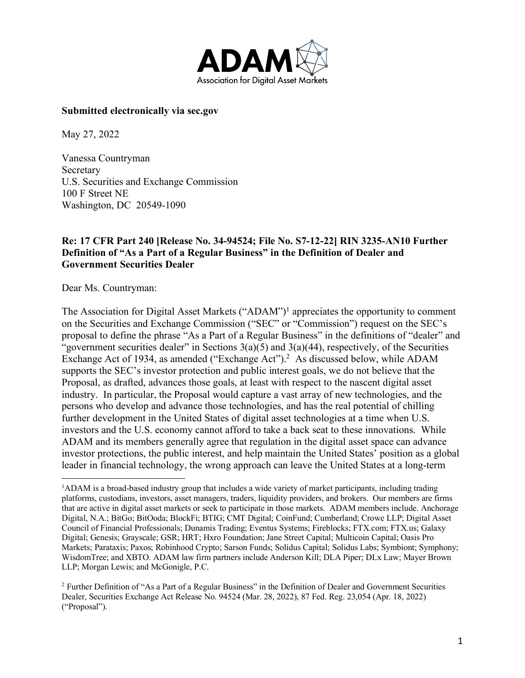

#### **Submitted electronically via sec.gov**

May 27, 2022

Vanessa Countryman Secretary U.S. Securities and Exchange Commission 100 F Street NE Washington, DC 20549-1090

#### **Re: 17 CFR Part 240 [Release No. 34-94524; File No. S7-12-22] RIN 3235-AN10 Further Definition of "As a Part of a Regular Business" in the Definition of Dealer and Government Securities Dealer**

Dear Ms. Countryman:

The Association for Digital Asset Markets ("ADAM")<sup>1</sup> appreciates the opportunity to comment on the Securities and Exchange Commission ("SEC" or "Commission") request on the SEC's proposal to define the phrase "As a Part of a Regular Business" in the definitions of "dealer" and "government securities dealer" in Sections  $3(a)(5)$  and  $3(a)(44)$ , respectively, of the Securities Exchange Act of 1934, as amended ("Exchange Act").<sup>2</sup> As discussed below, while ADAM supports the SEC's investor protection and public interest goals, we do not believe that the Proposal, as drafted, advances those goals, at least with respect to the nascent digital asset industry. In particular, the Proposal would capture a vast array of new technologies, and the persons who develop and advance those technologies, and has the real potential of chilling further development in the United States of digital asset technologies at a time when U.S. investors and the U.S. economy cannot afford to take a back seat to these innovations. While ADAM and its members generally agree that regulation in the digital asset space can advance investor protections, the public interest, and help maintain the United States' position as a global leader in financial technology, the wrong approach can leave the United States at a long-term

 $\frac{1}{1}$ <sup>1</sup>ADAM is a broad-based industry group that includes a wide variety of market participants, including trading platforms, custodians, investors, asset managers, traders, liquidity providers, and brokers. Our members are firms that are active in digital asset markets or seek to participate in those markets. ADAM members include. Anchorage Digital, N.A.; BitGo; BitOoda; BlockFi; BTIG; CMT Digital; CoinFund; Cumberland; Crowe LLP; Digital Asset Council of Financial Professionals; Dunamis Trading; Eventus Systems; Fireblocks; FTX.com; FTX.us; Galaxy Digital; Genesis; Grayscale; GSR; HRT; Hxro Foundation; Jane Street Capital; Multicoin Capital; Oasis Pro Markets; Parataxis; Paxos; Robinhood Crypto; Sarson Funds; Solidus Capital; Solidus Labs; Symbiont; Symphony; WisdomTree; and XBTO. ADAM law firm partners include Anderson Kill; DLA Piper; DLx Law; Mayer Brown LLP; Morgan Lewis; and McGonigle, P.C.

<sup>2</sup> Further Definition of "As a Part of a Regular Business" in the Definition of Dealer and Government Securities Dealer, Securities Exchange Act Release No. 94524 (Mar. 28, 2022), 87 Fed. Reg. 23,054 (Apr. 18, 2022) ("Proposal").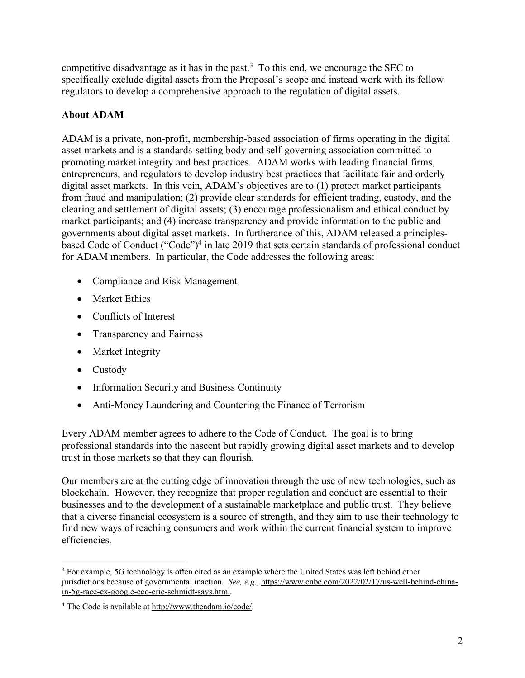competitive disadvantage as it has in the past. 3 To this end, we encourage the SEC to specifically exclude digital assets from the Proposal's scope and instead work with its fellow regulators to develop a comprehensive approach to the regulation of digital assets.

# **About ADAM**

ADAM is a private, non-profit, membership-based association of firms operating in the digital asset markets and is a standards-setting body and self-governing association committed to promoting market integrity and best practices. ADAM works with leading financial firms, entrepreneurs, and regulators to develop industry best practices that facilitate fair and orderly digital asset markets. In this vein, ADAM's objectives are to (1) protect market participants from fraud and manipulation; (2) provide clear standards for efficient trading, custody, and the clearing and settlement of digital assets; (3) encourage professionalism and ethical conduct by market participants; and (4) increase transparency and provide information to the public and governments about digital asset markets. In furtherance of this, ADAM released a principlesbased Code of Conduct ("Code")4 in late 2019 that sets certain standards of professional conduct for ADAM members. In particular, the Code addresses the following areas:

- Compliance and Risk Management
- Market Ethics
- Conflicts of Interest
- Transparency and Fairness
- Market Integrity
- Custody
- Information Security and Business Continuity
- Anti-Money Laundering and Countering the Finance of Terrorism

Every ADAM member agrees to adhere to the Code of Conduct. The goal is to bring professional standards into the nascent but rapidly growing digital asset markets and to develop trust in those markets so that they can flourish.

Our members are at the cutting edge of innovation through the use of new technologies, such as blockchain. However, they recognize that proper regulation and conduct are essential to their businesses and to the development of a sustainable marketplace and public trust. They believe that a diverse financial ecosystem is a source of strength, and they aim to use their technology to find new ways of reaching consumers and work within the current financial system to improve efficiencies.

 <sup>3</sup> For example, 5G technology is often cited as an example where the United States was left behind other jurisdictions because of governmental inaction. *See, e.g*., https://www.cnbc.com/2022/02/17/us-well-behind-chinain-5g-race-ex-google-ceo-eric-schmidt-says.html.

<sup>4</sup> The Code is available at http://www.theadam.io/code/.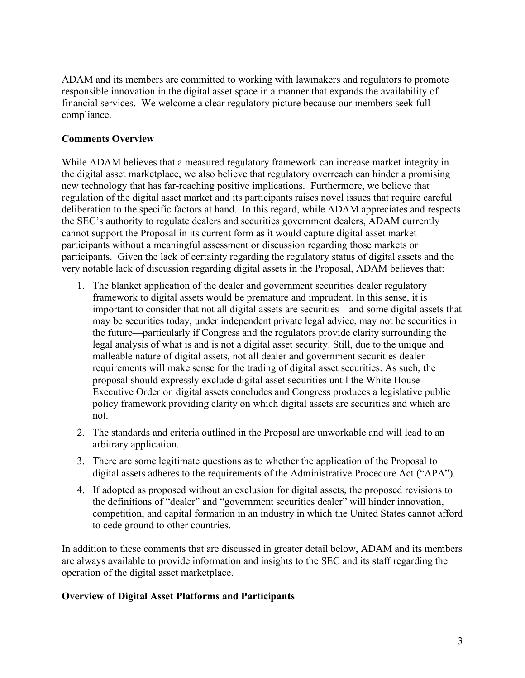ADAM and its members are committed to working with lawmakers and regulators to promote responsible innovation in the digital asset space in a manner that expands the availability of financial services. We welcome a clear regulatory picture because our members seek full compliance.

## **Comments Overview**

While ADAM believes that a measured regulatory framework can increase market integrity in the digital asset marketplace, we also believe that regulatory overreach can hinder a promising new technology that has far-reaching positive implications. Furthermore, we believe that regulation of the digital asset market and its participants raises novel issues that require careful deliberation to the specific factors at hand. In this regard, while ADAM appreciates and respects the SEC's authority to regulate dealers and securities government dealers, ADAM currently cannot support the Proposal in its current form as it would capture digital asset market participants without a meaningful assessment or discussion regarding those markets or participants. Given the lack of certainty regarding the regulatory status of digital assets and the very notable lack of discussion regarding digital assets in the Proposal, ADAM believes that:

- 1. The blanket application of the dealer and government securities dealer regulatory framework to digital assets would be premature and imprudent. In this sense, it is important to consider that not all digital assets are securities—and some digital assets that may be securities today, under independent private legal advice, may not be securities in the future—particularly if Congress and the regulators provide clarity surrounding the legal analysis of what is and is not a digital asset security. Still, due to the unique and malleable nature of digital assets, not all dealer and government securities dealer requirements will make sense for the trading of digital asset securities. As such, the proposal should expressly exclude digital asset securities until the White House Executive Order on digital assets concludes and Congress produces a legislative public policy framework providing clarity on which digital assets are securities and which are not.
- 2. The standards and criteria outlined in the Proposal are unworkable and will lead to an arbitrary application.
- 3. There are some legitimate questions as to whether the application of the Proposal to digital assets adheres to the requirements of the Administrative Procedure Act ("APA").
- 4. If adopted as proposed without an exclusion for digital assets, the proposed revisions to the definitions of "dealer" and "government securities dealer" will hinder innovation, competition, and capital formation in an industry in which the United States cannot afford to cede ground to other countries.

In addition to these comments that are discussed in greater detail below, ADAM and its members are always available to provide information and insights to the SEC and its staff regarding the operation of the digital asset marketplace.

## **Overview of Digital Asset Platforms and Participants**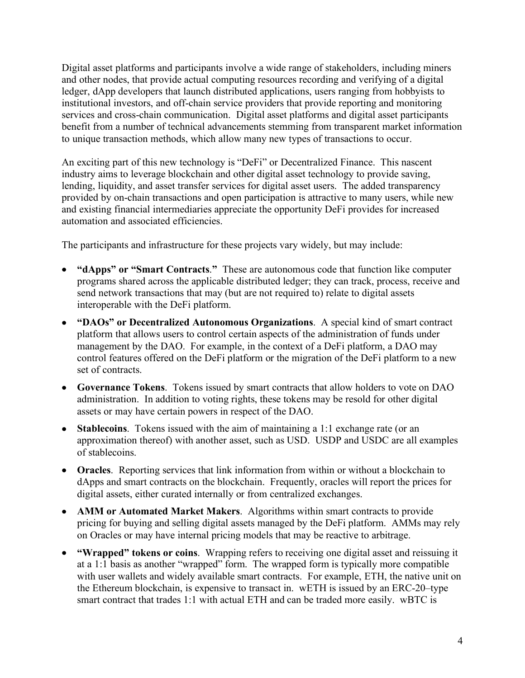Digital asset platforms and participants involve a wide range of stakeholders, including miners and other nodes, that provide actual computing resources recording and verifying of a digital ledger, dApp developers that launch distributed applications, users ranging from hobbyists to institutional investors, and off-chain service providers that provide reporting and monitoring services and cross-chain communication. Digital asset platforms and digital asset participants benefit from a number of technical advancements stemming from transparent market information to unique transaction methods, which allow many new types of transactions to occur.

An exciting part of this new technology is "DeFi" or Decentralized Finance. This nascent industry aims to leverage blockchain and other digital asset technology to provide saving, lending, liquidity, and asset transfer services for digital asset users. The added transparency provided by on-chain transactions and open participation is attractive to many users, while new and existing financial intermediaries appreciate the opportunity DeFi provides for increased automation and associated efficiencies.

The participants and infrastructure for these projects vary widely, but may include:

- **"dApps" or "Smart Contracts**.**"** These are autonomous code that function like computer programs shared across the applicable distributed ledger; they can track, process, receive and send network transactions that may (but are not required to) relate to digital assets interoperable with the DeFi platform.
- **"DAOs" or Decentralized Autonomous Organizations**. A special kind of smart contract platform that allows users to control certain aspects of the administration of funds under management by the DAO. For example, in the context of a DeFi platform, a DAO may control features offered on the DeFi platform or the migration of the DeFi platform to a new set of contracts.
- **Governance Tokens**. Tokens issued by smart contracts that allow holders to vote on DAO administration. In addition to voting rights, these tokens may be resold for other digital assets or may have certain powers in respect of the DAO.
- **Stablecoins**. Tokens issued with the aim of maintaining a 1:1 exchange rate (or an approximation thereof) with another asset, such as USD. USDP and USDC are all examples of stablecoins.
- **Oracles**. Reporting services that link information from within or without a blockchain to dApps and smart contracts on the blockchain. Frequently, oracles will report the prices for digital assets, either curated internally or from centralized exchanges.
- **AMM or Automated Market Makers**. Algorithms within smart contracts to provide pricing for buying and selling digital assets managed by the DeFi platform. AMMs may rely on Oracles or may have internal pricing models that may be reactive to arbitrage.
- **"Wrapped" tokens or coins**. Wrapping refers to receiving one digital asset and reissuing it at a 1:1 basis as another "wrapped" form. The wrapped form is typically more compatible with user wallets and widely available smart contracts. For example, ETH, the native unit on the Ethereum blockchain, is expensive to transact in. wETH is issued by an ERC-20–type smart contract that trades 1:1 with actual ETH and can be traded more easily. wBTC is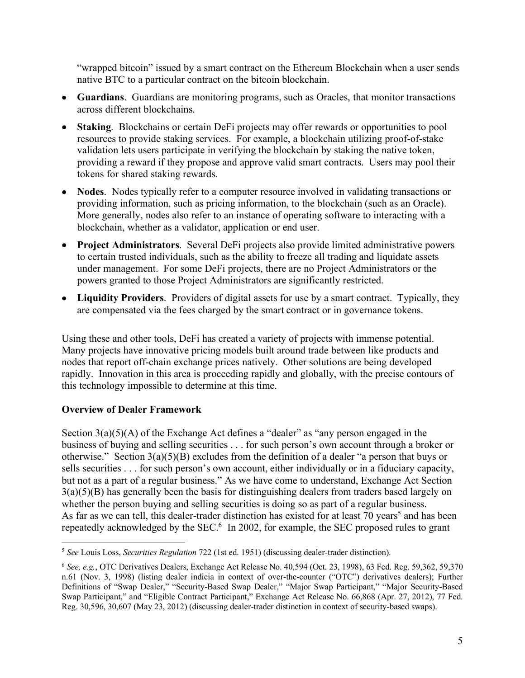"wrapped bitcoin" issued by a smart contract on the Ethereum Blockchain when a user sends native BTC to a particular contract on the bitcoin blockchain.

- **Guardians**. Guardians are monitoring programs, such as Oracles, that monitor transactions across different blockchains.
- **Staking**. Blockchains or certain DeFi projects may offer rewards or opportunities to pool resources to provide staking services. For example, a blockchain utilizing proof-of-stake validation lets users participate in verifying the blockchain by staking the native token, providing a reward if they propose and approve valid smart contracts. Users may pool their tokens for shared staking rewards.
- **Nodes**. Nodes typically refer to a computer resource involved in validating transactions or providing information, such as pricing information, to the blockchain (such as an Oracle). More generally, nodes also refer to an instance of operating software to interacting with a blockchain, whether as a validator, application or end user.
- **Project Administrators**. Several DeFi projects also provide limited administrative powers to certain trusted individuals, such as the ability to freeze all trading and liquidate assets under management. For some DeFi projects, there are no Project Administrators or the powers granted to those Project Administrators are significantly restricted.
- **Liquidity Providers**. Providers of digital assets for use by a smart contract. Typically, they are compensated via the fees charged by the smart contract or in governance tokens.

Using these and other tools, DeFi has created a variety of projects with immense potential. Many projects have innovative pricing models built around trade between like products and nodes that report off-chain exchange prices natively. Other solutions are being developed rapidly. Innovation in this area is proceeding rapidly and globally, with the precise contours of this technology impossible to determine at this time.

## **Overview of Dealer Framework**

Section  $3(a)(5)(A)$  of the Exchange Act defines a "dealer" as "any person engaged in the business of buying and selling securities . . . for such person's own account through a broker or otherwise." Section  $3(a)(5)(B)$  excludes from the definition of a dealer "a person that buys or sells securities . . . for such person's own account, either individually or in a fiduciary capacity, but not as a part of a regular business." As we have come to understand, Exchange Act Section 3(a)(5)(B) has generally been the basis for distinguishing dealers from traders based largely on whether the person buying and selling securities is doing so as part of a regular business. As far as we can tell, this dealer-trader distinction has existed for at least 70 years<sup>5</sup> and has been repeatedly acknowledged by the SEC.<sup>6</sup> In 2002, for example, the SEC proposed rules to grant

 <sup>5</sup> *See* Louis Loss, *Securities Regulation* 722 (1st ed. 1951) (discussing dealer-trader distinction).

<sup>6</sup> *See, e.g.*, OTC Derivatives Dealers, Exchange Act Release No. 40,594 (Oct. 23, 1998), 63 Fed. Reg. 59,362, 59,370 n.61 (Nov. 3, 1998) (listing dealer indicia in context of over-the-counter ("OTC") derivatives dealers); Further Definitions of "Swap Dealer," "Security-Based Swap Dealer," "Major Swap Participant," "Major Security-Based Swap Participant," and "Eligible Contract Participant," Exchange Act Release No. 66,868 (Apr. 27, 2012), 77 Fed. Reg. 30,596, 30,607 (May 23, 2012) (discussing dealer-trader distinction in context of security-based swaps).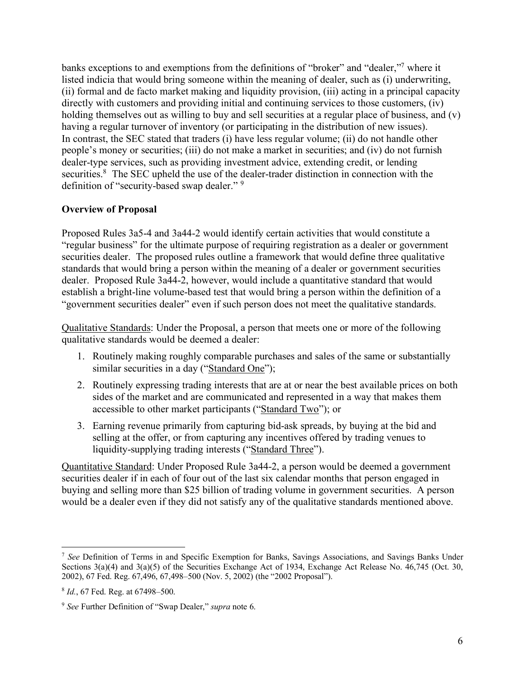banks exceptions to and exemptions from the definitions of "broker" and "dealer,"7 where it listed indicia that would bring someone within the meaning of dealer, such as (i) underwriting, (ii) formal and de facto market making and liquidity provision, (iii) acting in a principal capacity directly with customers and providing initial and continuing services to those customers, (iv) holding themselves out as willing to buy and sell securities at a regular place of business, and (v) having a regular turnover of inventory (or participating in the distribution of new issues). In contrast, the SEC stated that traders (i) have less regular volume; (ii) do not handle other people's money or securities; (iii) do not make a market in securities; and (iv) do not furnish dealer-type services, such as providing investment advice, extending credit, or lending securities.<sup>8</sup> The SEC upheld the use of the dealer-trader distinction in connection with the definition of "security-based swap dealer." 9

## **Overview of Proposal**

Proposed Rules 3a5-4 and 3a44-2 would identify certain activities that would constitute a "regular business" for the ultimate purpose of requiring registration as a dealer or government securities dealer. The proposed rules outline a framework that would define three qualitative standards that would bring a person within the meaning of a dealer or government securities dealer. Proposed Rule 3a44-2, however, would include a quantitative standard that would establish a bright-line volume-based test that would bring a person within the definition of a "government securities dealer" even if such person does not meet the qualitative standards.

Qualitative Standards: Under the Proposal, a person that meets one or more of the following qualitative standards would be deemed a dealer:

- 1. Routinely making roughly comparable purchases and sales of the same or substantially similar securities in a day ("Standard One");
- 2. Routinely expressing trading interests that are at or near the best available prices on both sides of the market and are communicated and represented in a way that makes them accessible to other market participants ("Standard Two"); or
- 3. Earning revenue primarily from capturing bid-ask spreads, by buying at the bid and selling at the offer, or from capturing any incentives offered by trading venues to liquidity-supplying trading interests ("Standard Three").

Quantitative Standard: Under Proposed Rule 3a44-2, a person would be deemed a government securities dealer if in each of four out of the last six calendar months that person engaged in buying and selling more than \$25 billion of trading volume in government securities. A person would be a dealer even if they did not satisfy any of the qualitative standards mentioned above.

 <sup>7</sup> *See* Definition of Terms in and Specific Exemption for Banks, Savings Associations, and Savings Banks Under Sections 3(a)(4) and 3(a)(5) of the Securities Exchange Act of 1934, Exchange Act Release No. 46,745 (Oct. 30, 2002), 67 Fed. Reg. 67,496, 67,498–500 (Nov. 5, 2002) (the "2002 Proposal").

<sup>8</sup> *Id.*, 67 Fed. Reg. at 67498–500.

<sup>9</sup> *See* Further Definition of "Swap Dealer," *supra* note 6.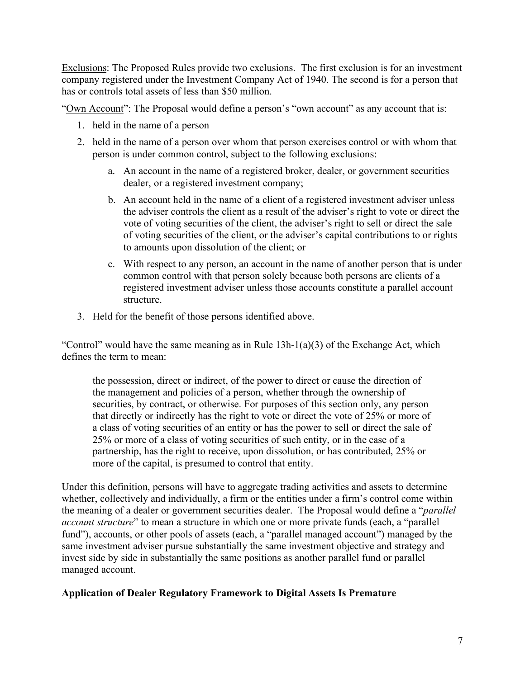Exclusions: The Proposed Rules provide two exclusions. The first exclusion is for an investment company registered under the Investment Company Act of 1940. The second is for a person that has or controls total assets of less than \$50 million.

"Own Account": The Proposal would define a person's "own account" as any account that is:

- 1. held in the name of a person
- 2. held in the name of a person over whom that person exercises control or with whom that person is under common control, subject to the following exclusions:
	- a. An account in the name of a registered broker, dealer, or government securities dealer, or a registered investment company;
	- b. An account held in the name of a client of a registered investment adviser unless the adviser controls the client as a result of the adviser's right to vote or direct the vote of voting securities of the client, the adviser's right to sell or direct the sale of voting securities of the client, or the adviser's capital contributions to or rights to amounts upon dissolution of the client; or
	- c. With respect to any person, an account in the name of another person that is under common control with that person solely because both persons are clients of a registered investment adviser unless those accounts constitute a parallel account structure.
- 3. Held for the benefit of those persons identified above.

"Control" would have the same meaning as in Rule  $13h-1(a)(3)$  of the Exchange Act, which defines the term to mean:

the possession, direct or indirect, of the power to direct or cause the direction of the management and policies of a person, whether through the ownership of securities, by contract, or otherwise. For purposes of this section only, any person that directly or indirectly has the right to vote or direct the vote of 25% or more of a class of voting securities of an entity or has the power to sell or direct the sale of 25% or more of a class of voting securities of such entity, or in the case of a partnership, has the right to receive, upon dissolution, or has contributed, 25% or more of the capital, is presumed to control that entity.

Under this definition, persons will have to aggregate trading activities and assets to determine whether, collectively and individually, a firm or the entities under a firm's control come within the meaning of a dealer or government securities dealer. The Proposal would define a "*parallel account structure*" to mean a structure in which one or more private funds (each, a "parallel fund"), accounts, or other pools of assets (each, a "parallel managed account") managed by the same investment adviser pursue substantially the same investment objective and strategy and invest side by side in substantially the same positions as another parallel fund or parallel managed account.

## **Application of Dealer Regulatory Framework to Digital Assets Is Premature**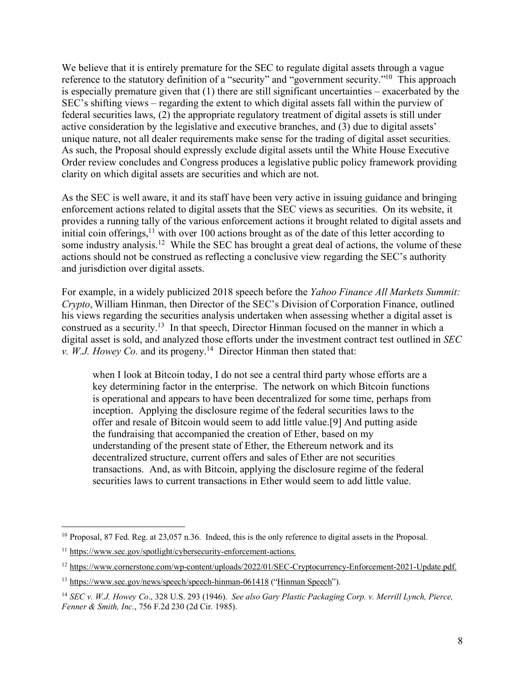We believe that it is entirely premature for the SEC to regulate digital assets through a vague reference to the statutory definition of a "security" and "government security."<sup>10</sup> This approach is especially premature given that  $(1)$  there are still significant uncertainties – exacerbated by the SEC's shifting views – regarding the extent to which digital assets fall within the purview of federal securities laws, (2) the appropriate regulatory treatment of digital assets is still under active consideration by the legislative and executive branches, and (3) due to digital assets' unique nature, not all dealer requirements make sense for the trading of digital asset securities. As such, the Proposal should expressly exclude digital assets until the White House Executive Order review concludes and Congress produces a legislative public policy framework providing clarity on which digital assets are securities and which are not.

As the SEC is well aware, it and its staff have been very active in issuing guidance and bringing enforcement actions related to digital assets that the SEC views as securities. On its website, it provides a running tally of the various enforcement actions it brought related to digital assets and initial coin offerings,  $\frac{11}{11}$  with over 100 actions brought as of the date of this letter according to some industry analysis.<sup>12</sup> While the SEC has brought a great deal of actions, the volume of these actions should not be construed as reflecting a conclusive view regarding the SEC's authority and jurisdiction over digital assets.

For example, in a widely publicized 2018 speech before the *Yahoo Finance All Markets Summit: Crypto*, William Hinman, then Director of the SEC's Division of Corporation Finance, outlined his views regarding the securities analysis undertaken when assessing whether a digital asset is construed as a security.13 In that speech, Director Hinman focused on the manner in which a digital asset is sold, and analyzed those efforts under the investment contract test outlined in *SEC v. W.J. Howey Co.* and its progeny.<sup>14</sup> Director Hinman then stated that:

when I look at Bitcoin today, I do not see a central third party whose efforts are a key determining factor in the enterprise. The network on which Bitcoin functions is operational and appears to have been decentralized for some time, perhaps from inception. Applying the disclosure regime of the federal securities laws to the offer and resale of Bitcoin would seem to add little value.[9] And putting aside the fundraising that accompanied the creation of Ether, based on my understanding of the present state of Ether, the Ethereum network and its decentralized structure, current offers and sales of Ether are not securities transactions. And, as with Bitcoin, applying the disclosure regime of the federal securities laws to current transactions in Ether would seem to add little value.

 <sup>10</sup> Proposal, 87 Fed. Reg. at 23,057 n.36. Indeed, this is the only reference to digital assets in the Proposal.

<sup>11</sup> https://www.sec.gov/spotlight/cybersecurity-enforcement-actions.

<sup>12</sup> https://www.cornerstone.com/wp-content/uploads/2022/01/SEC-Cryptocurrency-Enforcement-2021-Update.pdf.

<sup>&</sup>lt;sup>13</sup> https://www.sec.gov/news/speech/speech-hinman-061418 ("Hinman Speech").

<sup>14</sup> *SEC v. W.J. Howey Co*., 328 U.S. 293 (1946). *See also Gary Plastic Packaging Corp. v. Merrill Lynch, Pierce, Fenner & Smith, Inc.*, 756 F.2d 230 (2d Cir. 1985).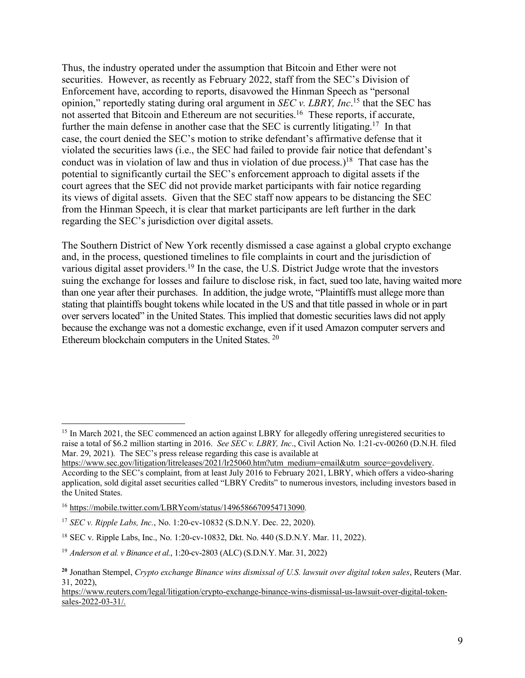Thus, the industry operated under the assumption that Bitcoin and Ether were not securities. However, as recently as February 2022, staff from the SEC's Division of Enforcement have, according to reports, disavowed the Hinman Speech as "personal opinion," reportedly stating during oral argument in *SEC v. LBRY, Inc*. <sup>15</sup> that the SEC has not asserted that Bitcoin and Ethereum are not securities.<sup>16</sup> These reports, if accurate, further the main defense in another case that the SEC is currently litigating.<sup>17</sup> In that case, the court denied the SEC's motion to strike defendant's affirmative defense that it violated the securities laws (i.e., the SEC had failed to provide fair notice that defendant's conduct was in violation of law and thus in violation of due process.) 18 That case has the potential to significantly curtail the SEC's enforcement approach to digital assets if the court agrees that the SEC did not provide market participants with fair notice regarding its views of digital assets. Given that the SEC staff now appears to be distancing the SEC from the Hinman Speech, it is clear that market participants are left further in the dark regarding the SEC's jurisdiction over digital assets.

The Southern District of New York recently dismissed a case against a global crypto exchange and, in the process, questioned timelines to file complaints in court and the jurisdiction of various digital asset providers.<sup>19</sup> In the case, the U.S. District Judge wrote that the investors suing the exchange for losses and failure to disclose risk, in fact, sued too late, having waited more than one year after their purchases. In addition, the judge wrote, "Plaintiffs must allege more than stating that plaintiffs bought tokens while located in the US and that title passed in whole or in part over servers located" in the United States. This implied that domestic securities laws did not apply because the exchange was not a domestic exchange, even if it used Amazon computer servers and Ethereum blockchain computers in the United States. 20

<sup>&</sup>lt;sup>15</sup> In March 2021, the SEC commenced an action against LBRY for allegedly offering unregistered securities to raise a total of \$6.2 million starting in 2016. *See SEC v. LBRY, Inc*., Civil Action No. 1:21-cv-00260 (D.N.H. filed Mar. 29, 2021). The SEC's press release regarding this case is available at

https://www.sec.gov/litigation/litreleases/2021/lr25060.htm?utm\_medium=email&utm\_source=govdelivery. According to the SEC's complaint, from at least July 2016 to February 2021, LBRY, which offers a video-sharing application, sold digital asset securities called "LBRY Credits" to numerous investors, including investors based in the United States.

<sup>16</sup> https://mobile.twitter.com/LBRYcom/status/1496586670954713090.

<sup>17</sup> *SEC v. Ripple Labs, Inc.*, No. 1:20-cv-10832 (S.D.N.Y. Dec. 22, 2020).

<sup>18</sup> SEC v. Ripple Labs, Inc., No. 1:20-cv-10832, Dkt. No. 440 (S.D.N.Y. Mar. 11, 2022).

<sup>19</sup> *Anderson et al. v Binance et al.*, 1:20-cv-2803 (ALC) (S.D.N.Y. Mar. 31, 2022)

**<sup>20</sup>** Jonathan Stempel, *Crypto exchange Binance wins dismissal of U.S. lawsuit over digital token sales*, Reuters (Mar. 31, 2022),

https://www.reuters.com/legal/litigation/crypto-exchange-binance-wins-dismissal-us-lawsuit-over-digital-tokensales-2022-03-31/.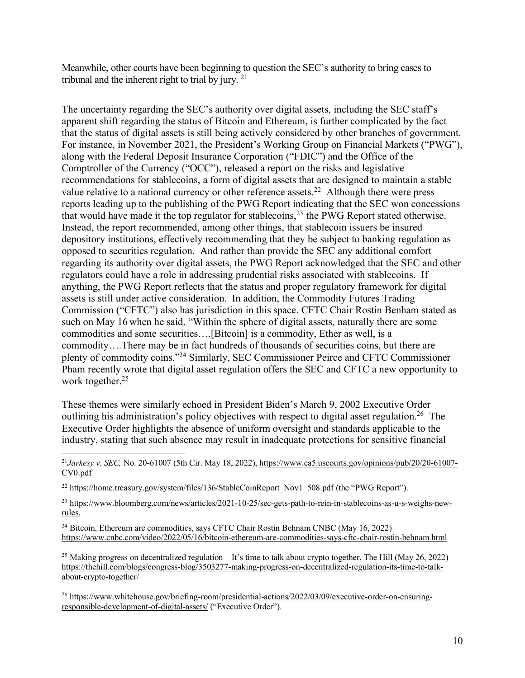Meanwhile, other courts have been beginning to question the SEC's authority to bring cases to tribunal and the inherent right to trial by jury. 21

The uncertainty regarding the SEC's authority over digital assets, including the SEC staff's apparent shift regarding the status of Bitcoin and Ethereum, is further complicated by the fact that the status of digital assets is still being actively considered by other branches of government. For instance, in November 2021, the President's Working Group on Financial Markets ("PWG"), along with the Federal Deposit Insurance Corporation ("FDIC") and the Office of the Comptroller of the Currency ("OCC"), released a report on the risks and legislative recommendations for stablecoins, a form of digital assets that are designed to maintain a stable value relative to a national currency or other reference assets.<sup>22</sup> Although there were press reports leading up to the publishing of the PWG Report indicating that the SEC won concessions that would have made it the top regulator for stablecoins,23 the PWG Report stated otherwise. Instead, the report recommended, among other things, that stablecoin issuers be insured depository institutions, effectively recommending that they be subject to banking regulation as opposed to securities regulation. And rather than provide the SEC any additional comfort regarding its authority over digital assets, the PWG Report acknowledged that the SEC and other regulators could have a role in addressing prudential risks associated with stablecoins. If anything, the PWG Report reflects that the status and proper regulatory framework for digital assets is still under active consideration. In addition, the Commodity Futures Trading Commission ("CFTC") also has jurisdiction in this space. CFTC Chair Rostin Benham stated as such on May 16 when he said, "Within the sphere of digital assets, naturally there are some commodities and some securities….[Bitcoin] is a commodity, Ether as well, is a commodity….There may be in fact hundreds of thousands of securities coins, but there are plenty of commodity coins."24 Similarly, SEC Commissioner Peirce and CFTC Commissioner Pham recently wrote that digital asset regulation offers the SEC and CFTC a new opportunity to work together.<sup>25</sup>

These themes were similarly echoed in President Biden's March 9, 2002 Executive Order outlining his administration's policy objectives with respect to digital asset regulation.<sup>26</sup> The Executive Order highlights the absence of uniform oversight and standards applicable to the industry, stating that such absence may result in inadequate protections for sensitive financial

 21*Jarkesy v. SEC,* No. 20-61007 (5th Cir. May 18, 2022), https://www.ca5.uscourts.gov/opinions/pub/20/20-61007- CV0.pdf

<sup>22</sup> https://home.treasury.gov/system/files/136/StableCoinReport\_Nov1\_508.pdf (the "PWG Report").

<sup>23</sup> https://www.bloomberg.com/news/articles/2021-10-25/sec-gets-path-to-rein-in-stablecoins-as-u-s-weighs-newrules.

<sup>24</sup> Bitcoin, Ethereum are commodities, says CFTC Chair Rostin Behnam CNBC (May 16, 2022) https://www.cnbc.com/video/2022/05/16/bitcoin-ethereum-are-commodities-says-cftc-chair-rostin-behnam.html

<sup>25</sup> Making progress on decentralized regulation – It's time to talk about crypto together, The Hill (May 26, 2022) https://thehill.com/blogs/congress-blog/3503277-making-progress-on-decentralized-regulation-its-time-to-talkabout-crypto-together/

<sup>26</sup> https://www.whitehouse.gov/briefing-room/presidential-actions/2022/03/09/executive-order-on-ensuringresponsible-development-of-digital-assets/ ("Executive Order").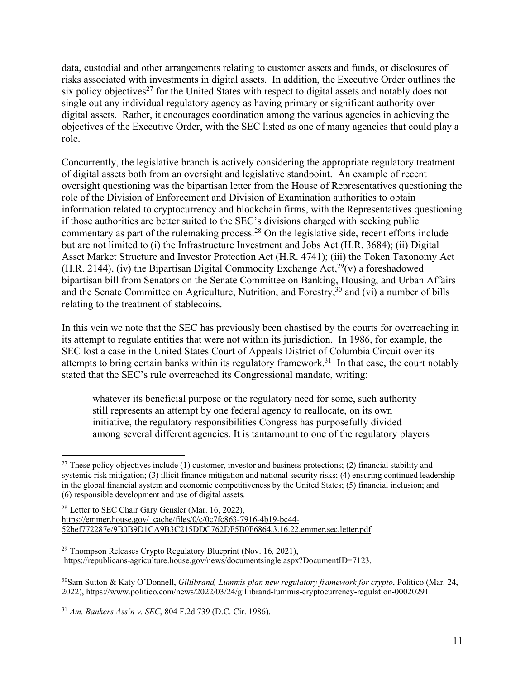data, custodial and other arrangements relating to customer assets and funds, or disclosures of risks associated with investments in digital assets. In addition, the Executive Order outlines the six policy objectives<sup>27</sup> for the United States with respect to digital assets and notably does not single out any individual regulatory agency as having primary or significant authority over digital assets. Rather, it encourages coordination among the various agencies in achieving the objectives of the Executive Order, with the SEC listed as one of many agencies that could play a role.

Concurrently, the legislative branch is actively considering the appropriate regulatory treatment of digital assets both from an oversight and legislative standpoint. An example of recent oversight questioning was the bipartisan letter from the House of Representatives questioning the role of the Division of Enforcement and Division of Examination authorities to obtain information related to cryptocurrency and blockchain firms, with the Representatives questioning if those authorities are better suited to the SEC's divisions charged with seeking public commentary as part of the rulemaking process. <sup>28</sup> On the legislative side, recent efforts include but are not limited to (i) the Infrastructure Investment and Jobs Act (H.R. 3684); (ii) Digital Asset Market Structure and Investor Protection Act (H.R. 4741); (iii) the Token Taxonomy Act (H.R. 2144), (iv) the Bipartisan Digital Commodity Exchange Act,<sup>29</sup>(v) a foreshadowed bipartisan bill from Senators on the Senate Committee on Banking, Housing, and Urban Affairs and the Senate Committee on Agriculture, Nutrition, and Forestry, <sup>30</sup> and (vi) a number of bills relating to the treatment of stablecoins.

In this vein we note that the SEC has previously been chastised by the courts for overreaching in its attempt to regulate entities that were not within its jurisdiction. In 1986, for example, the SEC lost a case in the United States Court of Appeals District of Columbia Circuit over its attempts to bring certain banks within its regulatory framework.<sup>31</sup> In that case, the court notably stated that the SEC's rule overreached its Congressional mandate, writing:

whatever its beneficial purpose or the regulatory need for some, such authority still represents an attempt by one federal agency to reallocate, on its own initiative, the regulatory responsibilities Congress has purposefully divided among several different agencies. It is tantamount to one of the regulatory players

<sup>&</sup>lt;sup>27</sup> These policy objectives include (1) customer, investor and business protections; (2) financial stability and systemic risk mitigation; (3) illicit finance mitigation and national security risks; (4) ensuring continued leadership in the global financial system and economic competitiveness by the United States; (5) financial inclusion; and (6) responsible development and use of digital assets.

<sup>28</sup> Letter to SEC Chair Gary Gensler (Mar. 16, 2022), https://emmer.house.gov/\_cache/files/0/c/0c7fc863-7916-4b19-bc44- 52bef772287e/9B0B9D1CA9B3C215DDC762DF5B0F6864.3.16.22.emmer.sec.letter.pdf.

<sup>29</sup> Thompson Releases Crypto Regulatory Blueprint (Nov. 16, 2021), https://republicans-agriculture.house.gov/news/documentsingle.aspx?DocumentID=7123.

<sup>30</sup>Sam Sutton & Katy O'Donnell, *Gillibrand, Lummis plan new regulatory framework for crypto*, Politico (Mar. 24, 2022), https://www.politico.com/news/2022/03/24/gillibrand-lummis-cryptocurrency-regulation-00020291.

<sup>31</sup> *Am. Bankers Ass'n v. SEC*, 804 F.2d 739 (D.C. Cir. 1986).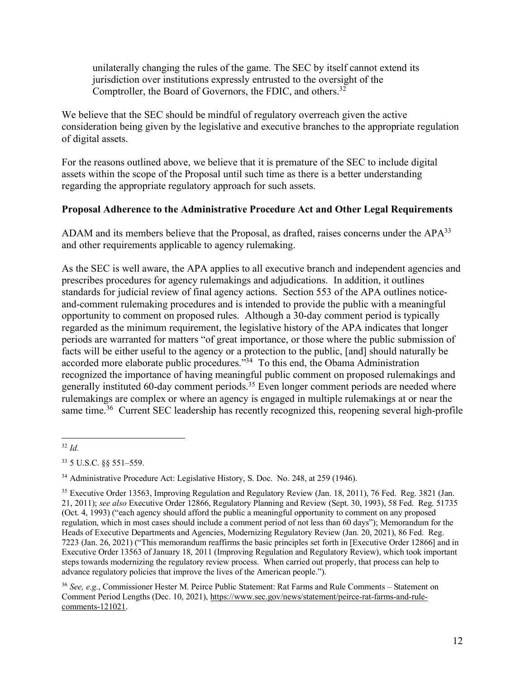unilaterally changing the rules of the game. The SEC by itself cannot extend its jurisdiction over institutions expressly entrusted to the oversight of the Comptroller, the Board of Governors, the FDIC, and others.<sup>32</sup>

We believe that the SEC should be mindful of regulatory overreach given the active consideration being given by the legislative and executive branches to the appropriate regulation of digital assets.

For the reasons outlined above, we believe that it is premature of the SEC to include digital assets within the scope of the Proposal until such time as there is a better understanding regarding the appropriate regulatory approach for such assets.

## **Proposal Adherence to the Administrative Procedure Act and Other Legal Requirements**

ADAM and its members believe that the Proposal, as drafted, raises concerns under the APA<sup>33</sup> and other requirements applicable to agency rulemaking.

As the SEC is well aware, the APA applies to all executive branch and independent agencies and prescribes procedures for agency rulemakings and adjudications. In addition, it outlines standards for judicial review of final agency actions. Section 553 of the APA outlines noticeand-comment rulemaking procedures and is intended to provide the public with a meaningful opportunity to comment on proposed rules. Although a 30-day comment period is typically regarded as the minimum requirement, the legislative history of the APA indicates that longer periods are warranted for matters "of great importance, or those where the public submission of facts will be either useful to the agency or a protection to the public, [and] should naturally be accorded more elaborate public procedures."34 To this end, the Obama Administration recognized the importance of having meaningful public comment on proposed rulemakings and generally instituted 60-day comment periods.<sup>35</sup> Even longer comment periods are needed where rulemakings are complex or where an agency is engaged in multiple rulemakings at or near the same time.<sup>36</sup> Current SEC leadership has recently recognized this, reopening several high-profile

 <sup>32</sup> *Id.*

<sup>33</sup> 5 U.S.C. §§ 551–559.

<sup>34</sup> Administrative Procedure Act: Legislative History, S. Doc. No. 248, at 259 (1946).

<sup>&</sup>lt;sup>35</sup> Executive Order 13563, Improving Regulation and Regulatory Review (Jan. 18, 2011), 76 Fed. Reg. 3821 (Jan. 21, 2011); *see also* Executive Order 12866, Regulatory Planning and Review (Sept. 30, 1993), 58 Fed. Reg. 51735 (Oct. 4, 1993) ("each agency should afford the public a meaningful opportunity to comment on any proposed regulation, which in most cases should include a comment period of not less than 60 days"); Memorandum for the Heads of Executive Departments and Agencies, Modernizing Regulatory Review (Jan. 20, 2021), 86 Fed. Reg. 7223 (Jan. 26, 2021) ("This memorandum reaffirms the basic principles set forth in [Executive Order 12866] and in Executive Order 13563 of January 18, 2011 (Improving Regulation and Regulatory Review), which took important steps towards modernizing the regulatory review process. When carried out properly, that process can help to advance regulatory policies that improve the lives of the American people.").

<sup>36</sup> *See, e.g*., Commissioner Hester M. Peirce Public Statement: Rat Farms and Rule Comments – Statement on Comment Period Lengths (Dec. 10, 2021), https://www.sec.gov/news/statement/peirce-rat-farms-and-rulecomments-121021.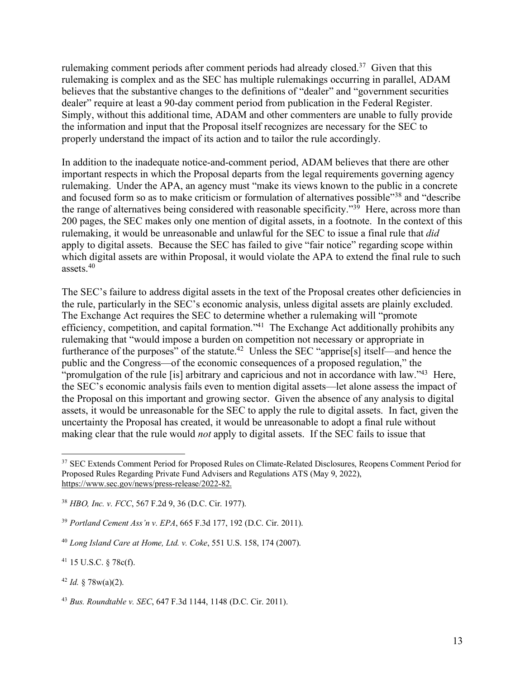rulemaking comment periods after comment periods had already closed.37 Given that this rulemaking is complex and as the SEC has multiple rulemakings occurring in parallel, ADAM believes that the substantive changes to the definitions of "dealer" and "government securities dealer" require at least a 90-day comment period from publication in the Federal Register. Simply, without this additional time, ADAM and other commenters are unable to fully provide the information and input that the Proposal itself recognizes are necessary for the SEC to properly understand the impact of its action and to tailor the rule accordingly.

In addition to the inadequate notice-and-comment period, ADAM believes that there are other important respects in which the Proposal departs from the legal requirements governing agency rulemaking. Under the APA, an agency must "make its views known to the public in a concrete and focused form so as to make criticism or formulation of alternatives possible"38 and "describe the range of alternatives being considered with reasonable specificity.<sup> $39$ </sup> Here, across more than 200 pages, the SEC makes only one mention of digital assets, in a footnote. In the context of this rulemaking, it would be unreasonable and unlawful for the SEC to issue a final rule that *did* apply to digital assets. Because the SEC has failed to give "fair notice" regarding scope within which digital assets are within Proposal, it would violate the APA to extend the final rule to such assets.40

The SEC's failure to address digital assets in the text of the Proposal creates other deficiencies in the rule, particularly in the SEC's economic analysis, unless digital assets are plainly excluded. The Exchange Act requires the SEC to determine whether a rulemaking will "promote efficiency, competition, and capital formation."41 The Exchange Act additionally prohibits any rulemaking that "would impose a burden on competition not necessary or appropriate in furtherance of the purposes" of the statute.<sup>42</sup> Unless the SEC "apprise<sup>[s]</sup> itself—and hence the public and the Congress—of the economic consequences of a proposed regulation," the "promulgation of the rule [is] arbitrary and capricious and not in accordance with law."<sup>43</sup> Here, the SEC's economic analysis fails even to mention digital assets—let alone assess the impact of the Proposal on this important and growing sector. Given the absence of any analysis to digital assets, it would be unreasonable for the SEC to apply the rule to digital assets. In fact, given the uncertainty the Proposal has created, it would be unreasonable to adopt a final rule without making clear that the rule would *not* apply to digital assets. If the SEC fails to issue that

<sup>38</sup> *HBO, Inc. v. FCC*, 567 F.2d 9, 36 (D.C. Cir. 1977).

<sup>41</sup> 15 U.S.C. § 78c(f).

<sup>42</sup> *Id.* § 78w(a)(2).

<sup>43</sup> *Bus. Roundtable v. SEC*, 647 F.3d 1144, 1148 (D.C. Cir. 2011).

<sup>&</sup>lt;sup>37</sup> SEC Extends Comment Period for Proposed Rules on Climate-Related Disclosures, Reopens Comment Period for Proposed Rules Regarding Private Fund Advisers and Regulations ATS (May 9, 2022), https://www.sec.gov/news/press-release/2022-82.

<sup>39</sup> *Portland Cement Ass'n v. EPA*, 665 F.3d 177, 192 (D.C. Cir. 2011).

<sup>40</sup> *Long Island Care at Home, Ltd. v. Coke*, 551 U.S. 158, 174 (2007).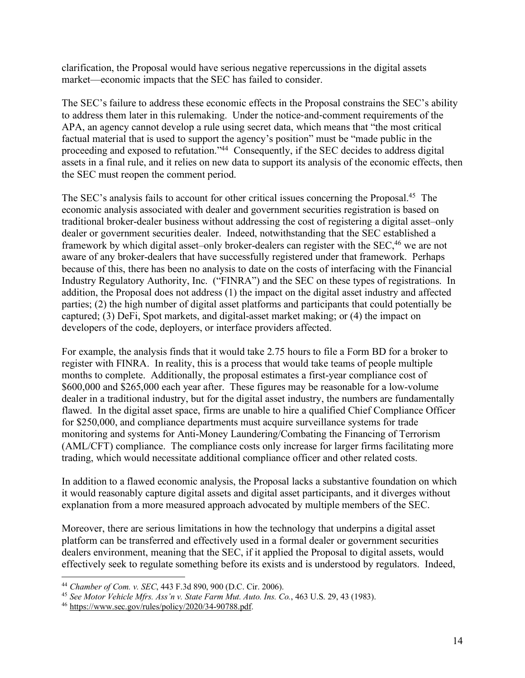clarification, the Proposal would have serious negative repercussions in the digital assets market—economic impacts that the SEC has failed to consider.

The SEC's failure to address these economic effects in the Proposal constrains the SEC's ability to address them later in this rulemaking. Under the notice-and-comment requirements of the APA, an agency cannot develop a rule using secret data, which means that "the most critical factual material that is used to support the agency's position" must be "made public in the proceeding and exposed to refutation."44 Consequently, if the SEC decides to address digital assets in a final rule, and it relies on new data to support its analysis of the economic effects, then the SEC must reopen the comment period.

The SEC's analysis fails to account for other critical issues concerning the Proposal.<sup>45</sup> The economic analysis associated with dealer and government securities registration is based on traditional broker-dealer business without addressing the cost of registering a digital asset–only dealer or government securities dealer. Indeed, notwithstanding that the SEC established a framework by which digital asset–only broker-dealers can register with the SEC,<sup>46</sup> we are not aware of any broker-dealers that have successfully registered under that framework. Perhaps because of this, there has been no analysis to date on the costs of interfacing with the Financial Industry Regulatory Authority, Inc. ("FINRA") and the SEC on these types of registrations. In addition, the Proposal does not address (1) the impact on the digital asset industry and affected parties; (2) the high number of digital asset platforms and participants that could potentially be captured; (3) DeFi, Spot markets, and digital-asset market making; or (4) the impact on developers of the code, deployers, or interface providers affected.

For example, the analysis finds that it would take 2.75 hours to file a Form BD for a broker to register with FINRA. In reality, this is a process that would take teams of people multiple months to complete. Additionally, the proposal estimates a first-year compliance cost of \$600,000 and \$265,000 each year after. These figures may be reasonable for a low-volume dealer in a traditional industry, but for the digital asset industry, the numbers are fundamentally flawed. In the digital asset space, firms are unable to hire a qualified Chief Compliance Officer for \$250,000, and compliance departments must acquire surveillance systems for trade monitoring and systems for Anti-Money Laundering/Combating the Financing of Terrorism (AML/CFT) compliance. The compliance costs only increase for larger firms facilitating more trading, which would necessitate additional compliance officer and other related costs.

In addition to a flawed economic analysis, the Proposal lacks a substantive foundation on which it would reasonably capture digital assets and digital asset participants, and it diverges without explanation from a more measured approach advocated by multiple members of the SEC.

Moreover, there are serious limitations in how the technology that underpins a digital asset platform can be transferred and effectively used in a formal dealer or government securities dealers environment, meaning that the SEC, if it applied the Proposal to digital assets, would effectively seek to regulate something before its exists and is understood by regulators. Indeed,

<sup>44</sup> *Chamber of Com. v. SEC*, 443 F.3d 890, 900 (D.C. Cir. 2006). 45 *See Motor Vehicle Mfrs. Ass'n v. State Farm Mut. Auto. Ins. Co.*, 463 U.S. 29, 43 (1983).

<sup>46</sup> https://www.sec.gov/rules/policy/2020/34-90788.pdf.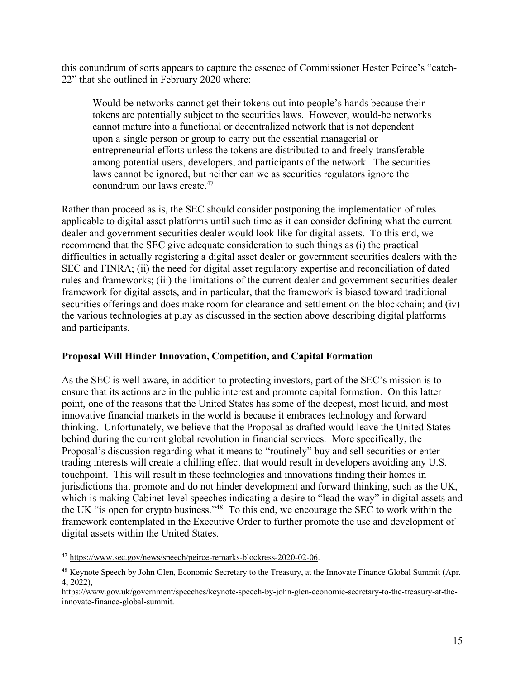this conundrum of sorts appears to capture the essence of Commissioner Hester Peirce's "catch-22" that she outlined in February 2020 where:

Would-be networks cannot get their tokens out into people's hands because their tokens are potentially subject to the securities laws. However, would-be networks cannot mature into a functional or decentralized network that is not dependent upon a single person or group to carry out the essential managerial or entrepreneurial efforts unless the tokens are distributed to and freely transferable among potential users, developers, and participants of the network. The securities laws cannot be ignored, but neither can we as securities regulators ignore the conundrum our laws create.47

Rather than proceed as is, the SEC should consider postponing the implementation of rules applicable to digital asset platforms until such time as it can consider defining what the current dealer and government securities dealer would look like for digital assets. To this end, we recommend that the SEC give adequate consideration to such things as (i) the practical difficulties in actually registering a digital asset dealer or government securities dealers with the SEC and FINRA; (ii) the need for digital asset regulatory expertise and reconciliation of dated rules and frameworks; (iii) the limitations of the current dealer and government securities dealer framework for digital assets, and in particular, that the framework is biased toward traditional securities offerings and does make room for clearance and settlement on the blockchain; and (iv) the various technologies at play as discussed in the section above describing digital platforms and participants.

## **Proposal Will Hinder Innovation, Competition, and Capital Formation**

As the SEC is well aware, in addition to protecting investors, part of the SEC's mission is to ensure that its actions are in the public interest and promote capital formation. On this latter point, one of the reasons that the United States has some of the deepest, most liquid, and most innovative financial markets in the world is because it embraces technology and forward thinking. Unfortunately, we believe that the Proposal as drafted would leave the United States behind during the current global revolution in financial services. More specifically, the Proposal's discussion regarding what it means to "routinely" buy and sell securities or enter trading interests will create a chilling effect that would result in developers avoiding any U.S. touchpoint. This will result in these technologies and innovations finding their homes in jurisdictions that promote and do not hinder development and forward thinking, such as the UK, which is making Cabinet-level speeches indicating a desire to "lead the way" in digital assets and the UK "is open for crypto business."48 To this end, we encourage the SEC to work within the framework contemplated in the Executive Order to further promote the use and development of digital assets within the United States.

 <sup>47</sup> https://www.sec.gov/news/speech/peirce-remarks-blockress-2020-02-06.

<sup>&</sup>lt;sup>48</sup> Keynote Speech by John Glen, Economic Secretary to the Treasury, at the Innovate Finance Global Summit (Apr. 4, 2022),

https://www.gov.uk/government/speeches/keynote-speech-by-john-glen-economic-secretary-to-the-treasury-at-theinnovate-finance-global-summit.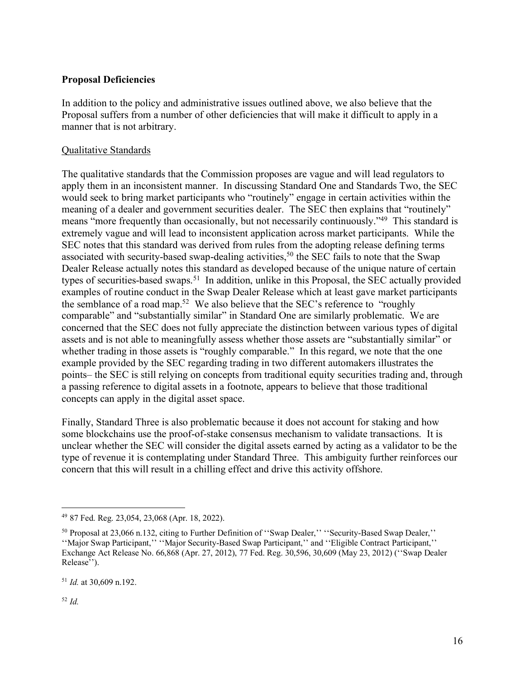### **Proposal Deficiencies**

In addition to the policy and administrative issues outlined above, we also believe that the Proposal suffers from a number of other deficiencies that will make it difficult to apply in a manner that is not arbitrary.

#### Qualitative Standards

The qualitative standards that the Commission proposes are vague and will lead regulators to apply them in an inconsistent manner. In discussing Standard One and Standards Two, the SEC would seek to bring market participants who "routinely" engage in certain activities within the meaning of a dealer and government securities dealer. The SEC then explains that "routinely" means "more frequently than occasionally, but not necessarily continuously."<sup>49</sup> This standard is extremely vague and will lead to inconsistent application across market participants. While the SEC notes that this standard was derived from rules from the adopting release defining terms associated with security-based swap-dealing activities,<sup>50</sup> the SEC fails to note that the Swap Dealer Release actually notes this standard as developed because of the unique nature of certain types of securities-based swaps.<sup>51</sup> In addition, unlike in this Proposal, the SEC actually provided examples of routine conduct in the Swap Dealer Release which at least gave market participants the semblance of a road map.52 We also believe that the SEC's reference to "roughly comparable" and "substantially similar" in Standard One are similarly problematic. We are concerned that the SEC does not fully appreciate the distinction between various types of digital assets and is not able to meaningfully assess whether those assets are "substantially similar" or whether trading in those assets is "roughly comparable." In this regard, we note that the one example provided by the SEC regarding trading in two different automakers illustrates the points– the SEC is still relying on concepts from traditional equity securities trading and, through a passing reference to digital assets in a footnote, appears to believe that those traditional concepts can apply in the digital asset space.

Finally, Standard Three is also problematic because it does not account for staking and how some blockchains use the proof-of-stake consensus mechanism to validate transactions. It is unclear whether the SEC will consider the digital assets earned by acting as a validator to be the type of revenue it is contemplating under Standard Three. This ambiguity further reinforces our concern that this will result in a chilling effect and drive this activity offshore.

<sup>51</sup> *Id.* at 30,609 n.192.

<sup>52</sup> *Id.* 

 <sup>49</sup> 87 Fed. Reg. 23,054, 23,068 (Apr. 18, 2022).

<sup>50</sup> Proposal at 23,066 n.132, citing to Further Definition of ''Swap Dealer,'' ''Security-Based Swap Dealer,'' ''Major Swap Participant,'' ''Major Security-Based Swap Participant,'' and ''Eligible Contract Participant,'' Exchange Act Release No. 66,868 (Apr. 27, 2012), 77 Fed. Reg. 30,596, 30,609 (May 23, 2012) (''Swap Dealer Release'').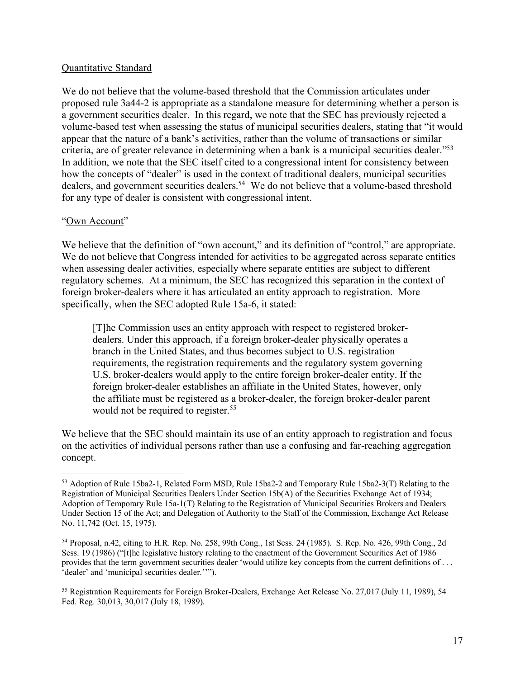#### Quantitative Standard

We do not believe that the volume-based threshold that the Commission articulates under proposed rule 3a44-2 is appropriate as a standalone measure for determining whether a person is a government securities dealer. In this regard, we note that the SEC has previously rejected a volume-based test when assessing the status of municipal securities dealers, stating that "it would appear that the nature of a bank's activities, rather than the volume of transactions or similar criteria, are of greater relevance in determining when a bank is a municipal securities dealer."53 In addition, we note that the SEC itself cited to a congressional intent for consistency between how the concepts of "dealer" is used in the context of traditional dealers, municipal securities dealers, and government securities dealers.<sup>54</sup> We do not believe that a volume-based threshold for any type of dealer is consistent with congressional intent.

#### "Own Account"

We believe that the definition of "own account," and its definition of "control," are appropriate. We do not believe that Congress intended for activities to be aggregated across separate entities when assessing dealer activities, especially where separate entities are subject to different regulatory schemes. At a minimum, the SEC has recognized this separation in the context of foreign broker-dealers where it has articulated an entity approach to registration. More specifically, when the SEC adopted Rule 15a-6, it stated:

[T]he Commission uses an entity approach with respect to registered brokerdealers. Under this approach, if a foreign broker-dealer physically operates a branch in the United States, and thus becomes subject to U.S. registration requirements, the registration requirements and the regulatory system governing U.S. broker-dealers would apply to the entire foreign broker-dealer entity. If the foreign broker-dealer establishes an affiliate in the United States, however, only the affiliate must be registered as a broker-dealer, the foreign broker-dealer parent would not be required to register.<sup>55</sup>

We believe that the SEC should maintain its use of an entity approach to registration and focus on the activities of individual persons rather than use a confusing and far-reaching aggregation concept.

 <sup>53</sup> Adoption of Rule 15ba2-1, Related Form MSD, Rule 15ba2-2 and Temporary Rule 15ba2-3(T) Relating to the Registration of Municipal Securities Dealers Under Section 15b(A) of the Securities Exchange Act of 1934; Adoption of Temporary Rule 15a-1(T) Relating to the Registration of Municipal Securities Brokers and Dealers Under Section 15 of the Act; and Delegation of Authority to the Staff of the Commission, Exchange Act Release No. 11,742 (Oct. 15, 1975).

<sup>54</sup> Proposal, n.42, citing to H.R. Rep. No. 258, 99th Cong., 1st Sess. 24 (1985). S. Rep. No. 426, 99th Cong., 2d Sess. 19 (1986) ("[t]he legislative history relating to the enactment of the Government Securities Act of 1986 provides that the term government securities dealer 'would utilize key concepts from the current definitions of . . . 'dealer' and 'municipal securities dealer.''").

<sup>55</sup> Registration Requirements for Foreign Broker-Dealers, Exchange Act Release No. 27,017 (July 11, 1989), 54 Fed. Reg. 30,013, 30,017 (July 18, 1989).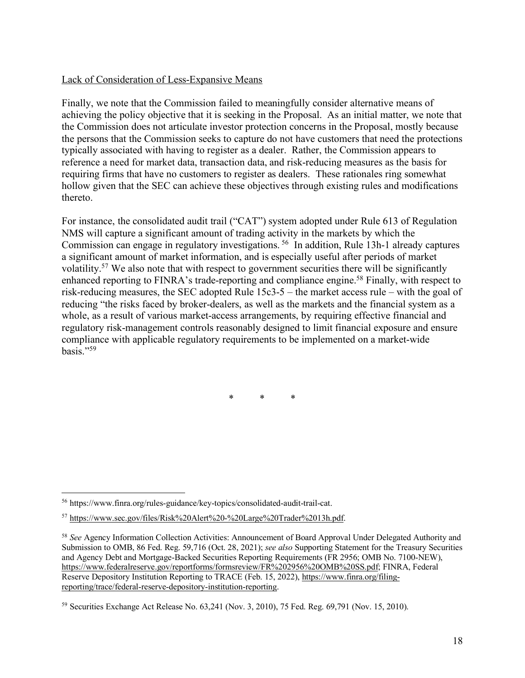### Lack of Consideration of Less-Expansive Means

Finally, we note that the Commission failed to meaningfully consider alternative means of achieving the policy objective that it is seeking in the Proposal. As an initial matter, we note that the Commission does not articulate investor protection concerns in the Proposal, mostly because the persons that the Commission seeks to capture do not have customers that need the protections typically associated with having to register as a dealer. Rather, the Commission appears to reference a need for market data, transaction data, and risk-reducing measures as the basis for requiring firms that have no customers to register as dealers. These rationales ring somewhat hollow given that the SEC can achieve these objectives through existing rules and modifications thereto.

For instance, the consolidated audit trail ("CAT") system adopted under Rule 613 of Regulation NMS will capture a significant amount of trading activity in the markets by which the Commission can engage in regulatory investigations. 56 In addition, Rule 13h-1 already captures a significant amount of market information, and is especially useful after periods of market volatility.57 We also note that with respect to government securities there will be significantly enhanced reporting to FINRA's trade-reporting and compliance engine.<sup>58</sup> Finally, with respect to risk-reducing measures, the SEC adopted Rule 15c3-5 – the market access rule – with the goal of reducing "the risks faced by broker-dealers, as well as the markets and the financial system as a whole, as a result of various market-access arrangements, by requiring effective financial and regulatory risk-management controls reasonably designed to limit financial exposure and ensure compliance with applicable regulatory requirements to be implemented on a market-wide basis $"$ <sup>59</sup>

\* \* \*

 <sup>56</sup> https://www.finra.org/rules-guidance/key-topics/consolidated-audit-trail-cat.

<sup>57</sup> https://www.sec.gov/files/Risk%20Alert%20-%20Large%20Trader%2013h.pdf.

<sup>58</sup> *See* Agency Information Collection Activities: Announcement of Board Approval Under Delegated Authority and Submission to OMB, 86 Fed. Reg. 59,716 (Oct. 28, 2021); *see also* Supporting Statement for the Treasury Securities and Agency Debt and Mortgage-Backed Securities Reporting Requirements (FR 2956; OMB No. 7100-NEW), https://www.federalreserve.gov/reportforms/formsreview/FR%202956%20OMB%20SS.pdf; FINRA, Federal Reserve Depository Institution Reporting to TRACE (Feb. 15, 2022), https://www.finra.org/filingreporting/trace/federal-reserve-depository-institution-reporting.

<sup>59</sup> Securities Exchange Act Release No. 63,241 (Nov. 3, 2010), 75 Fed. Reg. 69,791 (Nov. 15, 2010).